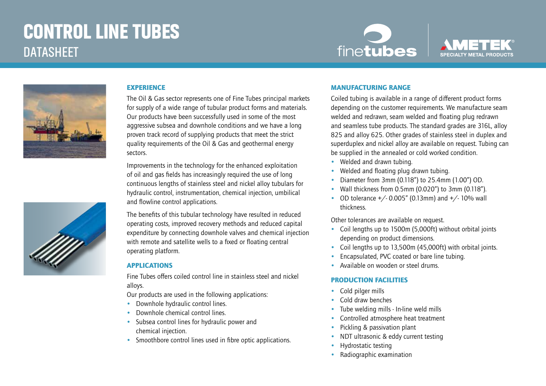



### **EXPERIENCE**

The Oil & Gas sector represents one of Fine Tubes principal markets for supply of a wide range of tubular product forms and materials. Our products have been successfully used in some of the most aggressive subsea and downhole conditions and we have a long proven track record of supplying products that meet the strict quality requirements of the Oil & Gas and geothermal energy sectors.

Improvements in the technology for the enhanced exploitation of oil and gas fields has increasingly required the use of long continuous lengths of stainless steel and nickel alloy tubulars for hydraulic control, instrumentation, chemical injection, umbilical and flowline control applications.

The benefits of this tubular technology have resulted in reduced operating costs, improved recovery methods and reduced capital expenditure by connecting downhole valves and chemical injection with remote and satellite wells to a fixed or floating central operating platform.

# APPLICATIONS

Fine Tubes offers coiled control line in stainless steel and nickel alloys.

Our products are used in the following applications:

- Downhole hydraulic control lines.
- Downhole chemical control lines.
- Subsea control lines for hydraulic power and chemical injection.
- Smoothbore control lines used in fibre optic applications.

### MANUFACTURING RANGE

Coiled tubing is available in a range of different product forms depending on the customer requirements. We manufacture seam welded and redrawn, seam welded and floating plug redrawn and seamless tube products. The standard grades are 316L, alloy 825 and alloy 625. Other grades of stainless steel in duplex and superduplex and nickel alloy are available on request. Tubing can be supplied in the annealed or cold worked condition.

- Welded and drawn tubing.
- Welded and floating plug drawn tubing.
- Diameter from 3mm (0.118") to 25.4mm (1.00") OD.
- Wall thickness from 0.5mm (0.020") to 3mm (0.118").
- OD tolerance  $+/$  0.005" (0.13mm) and  $+/$  10% wall thickness.

Other tolerances are available on request.

- Coil lengths up to 1500m (5,000ft) without orbital joints depending on product dimensions.
- Coil lengths up to 13,500m (45,000ft) with orbital joints.
- Encapsulated, PVC coated or bare line tubing.
- Available on wooden or steel drums.

# PRODUCTION FACILITIES

- Cold pilger mills
- Cold draw benches
- Tube welding mills In-line weld mills
- Controlled atmosphere heat treatment
- Pickling & passivation plant
- NDT ultrasonic & eddy current testing
- Hydrostatic testing
- Radiographic examination

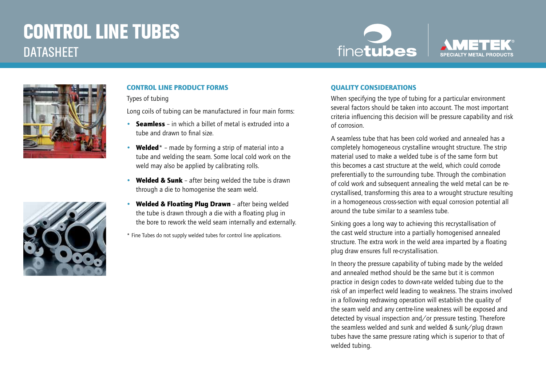







# CONTROL LINE PRODUCT FORMS

Types of tubing

Long coils of tubing can be manufactured in four main forms:

- **Seamless** in which a billet of metal is extruded into a tube and drawn to final size.
- **Welded** $*$  made by forming a strip of material into a tube and welding the seam. Some local cold work on the weld may also be applied by calibrating rolls.
- Welded & Sunk after being welded the tube is drawn through a die to homogenise the seam weld.
- Welded & Floating Plug Drawn after being welded the tube is drawn through a die with a floating plug in the bore to rework the weld seam internally and externally.
- \* Fine Tubes do not supply welded tubes for control line applications.

### QUALITY CONSIDERATIONS

When specifying the type of tubing for a particular environment several factors should be taken into account. The most important criteria influencing this decision will be pressure capability and risk of corrosion.

A seamless tube that has been cold worked and annealed has a completely homogeneous crystalline wrought structure. The strip material used to make a welded tube is of the same form but this becomes a cast structure at the weld, which could corrode preferentially to the surrounding tube. Through the combination of cold work and subsequent annealing the weld metal can be recrystallised, transforming this area to a wrought structure resulting in a homogeneous cross-section with equal corrosion potential all around the tube similar to a seamless tube.

Sinking goes a long way to achieving this recrystallisation of the cast weld structure into a partially homogenised annealed structure. The extra work in the weld area imparted by a floating plug draw ensures full re-crystallisation.

In theory the pressure capability of tubing made by the welded and annealed method should be the same but it is common practice in design codes to down-rate welded tubing due to the risk of an imperfect weld leading to weakness. The strains involved in a following redrawing operation will establish the quality of the seam weld and any centre-line weakness will be exposed and detected by visual inspection and/or pressure testing. Therefore the seamless welded and sunk and welded & sunk/plug drawn tubes have the same pressure rating which is superior to that of welded tubing.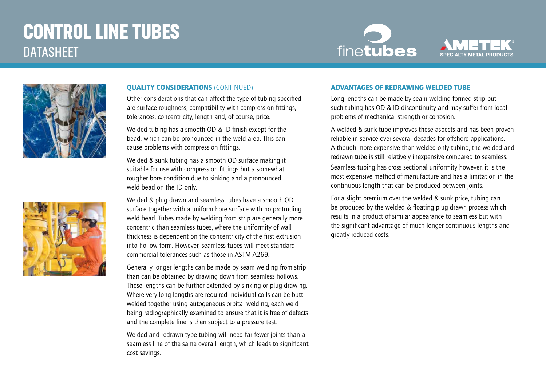





### QUALITY CONSIDERATIONS (CONTINUED)

Other considerations that can affect the type of tubing specified are surface roughness, compatibility with compression fittings, tolerances, concentricity, length and, of course, price.

Welded tubing has a smooth OD & ID finish except for the bead, which can be pronounced in the weld area. This can cause problems with compression fittings.

Welded & sunk tubing has a smooth OD surface making it suitable for use with compression fittings but a somewhat rougher bore condition due to sinking and a pronounced weld bead on the ID only.

Welded & plug drawn and seamless tubes have a smooth OD surface together with a uniform bore surface with no protruding weld bead. Tubes made by welding from strip are generally more concentric than seamless tubes, where the uniformity of wall thickness is dependent on the concentricity of the first extrusion into hollow form. However, seamless tubes will meet standard commercial tolerances such as those in ASTM A269.

Generally longer lengths can be made by seam welding from strip than can be obtained by drawing down from seamless hollows. These lengths can be further extended by sinking or plug drawing. Where very long lengths are required individual coils can be butt welded together using autogeneous orbital welding, each weld being radiographically examined to ensure that it is free of defects and the complete line is then subject to a pressure test.

Welded and redrawn type tubing will need far fewer joints than a seamless line of the same overall length, which leads to significant cost savings.

### ADVANTAGES OF REDRAWING WELDED TUBE

Long lengths can be made by seam welding formed strip but such tubing has OD & ID discontinuity and may suffer from local problems of mechanical strength or corrosion.

A welded & sunk tube improves these aspects and has been proven reliable in service over several decades for offshore applications. Although more expensive than welded only tubing, the welded and redrawn tube is still relatively inexpensive compared to seamless.

Seamless tubing has cross sectional uniformity however, it is the most expensive method of manufacture and has a limitation in the continuous length that can be produced between joints.

For a slight premium over the welded & sunk price, tubing can be produced by the welded & floating plug drawn process which results in a product of similar appearance to seamless but with the significant advantage of much longer continuous lengths and greatly reduced costs.

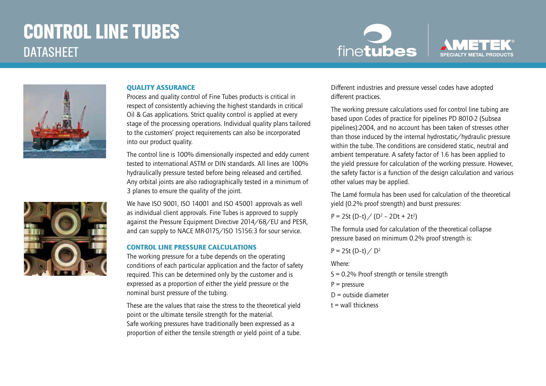



### QUALITY ASSURANCE

Process and quality control of Fine Tubes products is critical in respect of consistently achieving the highest standards in critical Oil & Gas applications. Strict quality control is applied at every stage of the processing operations. Individual quality plans tailored to the customers' project requirements can also be incorporated into our product quality.

The control line is 100% dimensionally inspected and eddy current tested to international ASTM or DIN standards. All lines are 100% hydraulically pressure tested before being released and certified. Any orbital joints are also radiographically tested in a minimum of 3 planes to ensure the quality of the joint.

We have ISO 9001, ISO 14001 and ISO 45001 approvals as well as individual client approvals. Fine Tubes is approved to supply against the Pressure Equipment Directive 2014/68/EU and PESR, and can supply to NACE MR-0175/ISO 15156:3 for sour service.

### CONTROL LINE PRESSURE CALCULATIONS

The working pressure for a tube depends on the operating conditions of each particular application and the factor of safety required. This can be determined only by the customer and is expressed as a proportion of either the yield pressure or the nominal burst pressure of the tubing.

These are the values that raise the stress to the theoretical yield point or the ultimate tensile strength for the material. Safe working pressures have traditionally been expressed as a proportion of either the tensile strength or yield point of a tube. Different industries and pressure vessel codes have adopted different practices.

The working pressure calculations used for control line tubing are based upon Codes of practice for pipelines PD 8010-2 (Subsea pipelines):2004, and no account has been taken of stresses other than those induced by the internal hydrostatic/hydraulic pressure within the tube. The conditions are considered static, neutral and ambient temperature. A safety factor of 1.6 has been applied to the yield pressure for calculation of the working pressure. However, the safety factor is a function of the design calculation and various other values may be applied.

The Lamé formula has been used for calculation of the theoretical yield (0.2% proof strength) and burst pressures:

P = 2St (D-t) / (D<sup>2</sup> - 2Dt + 2t<sup>2</sup>)

The formula used for calculation of the theoretical collapse pressure based on minimum 0.2% proof strength is:

 $P = 2St (D-t) / D^2$ 

Where:

- S = 0.2% Proof strength or tensile strength
- $P = pressure$
- $D = 0$ utside diameter
- $t =$  wall thickness

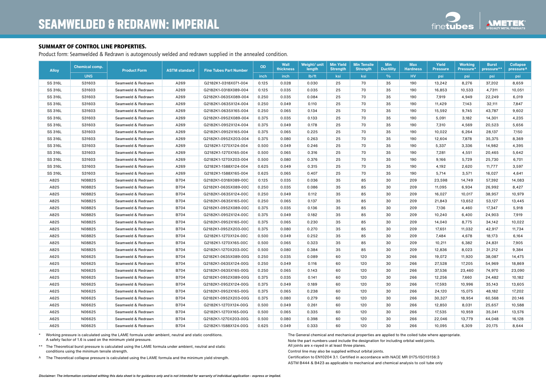

Product form: Seamwelded & Redrawn is autogenously welded and redrawn supplied in the annealed condition.

| <b>Alloy</b>   | Chemical comp. | <b>Product Form</b> | <b>ASTM</b> standard | <b>Fine Tubes Part Number</b> | <b>OD</b> | Wall<br>thickness | Weight/unit<br>length | <b>Min Yield</b><br><b>Strength</b> | <b>Min Tensile</b><br><b>Strength</b> | <b>Min</b><br><b>Ductility</b> | <b>Max</b><br><b>Hardness</b> | Yield<br><b>Pressure</b> | <b>Working</b><br>Pressure* | <b>Burst</b><br>pressure*' | <b>Collapse</b><br>pressure <i>l</i> |
|----------------|----------------|---------------------|----------------------|-------------------------------|-----------|-------------------|-----------------------|-------------------------------------|---------------------------------------|--------------------------------|-------------------------------|--------------------------|-----------------------------|----------------------------|--------------------------------------|
|                | <b>UNS</b>     |                     |                      |                               | inch      | inch              | Ib/ft                 | ksi                                 | ksi                                   | $\frac{0}{0}$                  | <b>HV</b>                     | psi                      | psi                         | psi                        | psi                                  |
| <b>SS 316L</b> | S31603         | Seamweld & Redrawn  | A269                 | G2182K1-0318X071-004          | 0.125     | 0.028             | 0.030                 | 25                                  | 70                                    | 35                             | 190                           | 13,242                   | 8,276                       | 37,202                     | 8,659                                |
| <b>SS 316L</b> | S31603         | Seamweld & Redrawn  | A269                 | G2182K1-0318X089-004          | 0.125     | 0.035             | 0.035                 | 25                                  | 70                                    | 35                             | 190                           | 16,853                   | 10,533                      | 4,7311                     | 10,051                               |
| <b>SS 316L</b> | S31603         | Seamweld & Redrawn  | A269                 | G2182K1-0635X089-004          | 0.250     | 0.035             | 0.084                 | 25                                  | 70                                    | 35                             | 190                           | 7,919                    | 4,949                       | 22,249                     | 6,019                                |
| <b>SS 316L</b> | S31603         | Seamweld & Redrawn  | A269                 | G2182K1-0635X124-004          | 0.250     | 0.049             | 0.110                 | 25                                  | 70                                    | 35                             | 190                           | 11,429                   | 7,143                       | 32,111                     | 7,847                                |
| <b>SS 316L</b> | S31603         | Seamweld & Redrawn  | A269                 | G2182K1-0635X165-004          | 0.250     | 0.065             | 0.134                 | 25                                  | 70                                    | 35                             | 190                           | 15,592                   | 9,745                       | 43,787                     | 9,602                                |
| <b>SS 316L</b> | S31603         | Seamweld & Redrawn  | A269                 | G2182K1-0952X089-004          | 0.375     | 0.035             | 0.133                 | 25                                  | 70                                    | 35                             | 190                           | 5,091                    | 3,182                       | 14,301                     | 4,235                                |
| <b>SS 316L</b> | S31603         | Seamweld & Redrawn  | A269                 | G2182K1-0952X124-004          | 0.375     | 0.049             | 0.178                 | 25                                  | 70                                    | 35                             | 190                           | 7,310                    | 4,569                       | 20,523                     | 5,656                                |
| <b>SS 316L</b> | S31603         | Seamweld & Redrawn  | A269                 | G2182K1-0952X165-004          | 0.375     | 0.065             | 0.225                 | 25                                  | 70                                    | 35                             | 190                           | 10,022                   | 6,264                       | 28,137                     | 7,150                                |
| <b>SS 316L</b> | S31603         | Seamweld & Redrawn  | A269                 | G2182K1-0952X203-004          | 0.375     | 0.080             | 0.263                 | 25                                  | 70                                    | 35                             | 190                           | 12,604                   | 7,878                       | 35,375                     | 8,369                                |
| <b>SS 316L</b> | S31603         | Seamweld & Redrawn  | A269                 | G2182K1-1270X124-004          | 0.500     | 0.049             | 0.246                 | 25                                  | 70                                    | 35                             | 190                           | 5,337                    | 3,336                       | 14,982                     | 4,395                                |
| <b>SS 316L</b> | S31603         | Seamweld & Redrawn  | A269                 | G2182K1-1270X165-004          | 0.500     | 0.065             | 0.316                 | 25                                  | 70                                    | 35                             | 190                           | 7,281                    | 4,551                       | 20,465                     | 5,642                                |
| <b>SS 316L</b> | S31603         | Seamweld & Redrawn  | A269                 | G2182K1-1270X203-004          | 0.500     | 0.080             | 0.376                 | 25                                  | 70                                    | 35                             | 190                           | 9,166                    | 5,729                       | 25,730                     | 6,701                                |
| <b>SS 316L</b> | S31603         | Seamweld & Redrawn  | A269                 | G2182K1-1588X124-004          | 0.625     | 0.049             | 0.315                 | 25                                  | 70                                    | 35                             | 190                           | 4,192                    | 2,620                       | 11,777                     | 3,597                                |
| <b>SS 316L</b> | S31603         | Seamweld & Redrawn  | A269                 | G2182K1-1588X165-004          | 0.625     | 0.065             | 0.407                 | 25                                  | 70                                    | 35                             | 190                           | 5,714                    | 3,571                       | 16,027                     | 4,641                                |
| A825           | N08825         | Seamweld & Redrawn  | B704                 | G2182K1-0318X089-00C          | 0.125     | 0.035             | 0.036                 | 35                                  | 85                                    | 30                             | 209                           | 23,598                   | 14,749                      | 57,392                     | 14,083                               |
| A825           | N08825         | Seamweld & Redrawn  | <b>B704</b>          | G2182K1-0635X089-00C          | 0.250     | 0.035             | 0.086                 | 35                                  | 85                                    | 30                             | 209                           | 11,095                   | 6,934                       | 26,992                     | 8,427                                |
| A825           | N08825         | Seamweld & Redrawn  | <b>B704</b>          | G2182K1-0635X124-00C          | 0.250     | 0.049             | 0.112                 | 35                                  | 85                                    | 30                             | 209                           | 16,027                   | 10,017                      | 38,957                     | 10,979                               |
| A825           | N08825         | Seamweld & Redrawn  | B704                 | G2182K1-0635X165-00C          | 0.250     | 0.065             | 0.137                 | 35                                  | 85                                    | 30                             | 209                           | 21,843                   | 13,652                      | 53,127                     | 13,445                               |
| A825           | N08825         | Seamweld & Redrawn  | <b>B704</b>          | G2182K1-0952X089-00C          | 0.375     | 0.035             | 0.136                 | 35                                  | 85                                    | 30                             | 209                           | 7,136                    | 4,460                       | 17,347                     | 5,918                                |
| A825           | N08825         | Seamweld & Redrawn  | <b>B704</b>          | G2182K1-0952X124-00C          | 0.375     | 0.049             | 0.182                 | 35                                  | 85                                    | 30                             | 209                           | 10,240                   | 6,400                       | 24,903                     | 7,919                                |
| A825           | N08825         | Seamweld & Redrawn  | <b>B704</b>          | G2182K1-0952X165-00C          | 0.375     | 0.065             | 0.230                 | 35                                  | 85                                    | 30                             | 209                           | 14,040                   | 8,775                       | 34,142                     | 10,022                               |
| A825           | N08825         | Seamweld & Redrawn  | <b>B704</b>          | G2182K1-0952X203-00C          | 0.375     | 0.080             | 0.270                 | 35                                  | 85                                    | 30                             | 209                           | 17,651                   | 11,032                      | 42,917                     | 11,734                               |
| A825           | N08825         | Seamweld & Redrawn  | <b>B704</b>          | G2182K1-1270X124-00C          | 0.500     | 0.049             | 0.252                 | 35                                  | 85                                    | 30                             | 209                           | 7,484                    | 4,678                       | 18,173                     | 6,164                                |
| A825           | N08825         | Seamweld & Redrawn  | <b>B704</b>          | G2182K1-1270X165-00C          | 0.500     | 0.065             | 0.323                 | 35                                  | 85                                    | 30                             | 209                           | 10,211                   | 6,382                       | 24,831                     | 7,905                                |
| A825           | N08825         | Seamweld & Redrawn  | <b>B704</b>          | G2182K1-1270X203-00C          | 0.500     | 0.080             | 0.384                 | 35                                  | 85                                    | 30                             | 209                           | 12,836                   | 8,023                       | 31,212                     | 9,384                                |
| A625           | N06625         | Seamweld & Redrawn  | <b>B704</b>          | G2182K1-0635X089-00G          | 0.250     | 0.035             | 0.089                 | 60                                  | 120                                   | 30                             | 266                           | 19,072                   | 11,920                      | 38,087                     | 14,475                               |
| A625           | N06625         | Seamweld & Redrawn  | <b>B704</b>          | G2182K1-0635X124-00G          | 0.250     | 0.049             | 0.116                 | 60                                  | 120                                   | 30                             | 266                           | 27,528                   | 17,205                      | 54,969                     | 18,869                               |
| A625           | N06625         | Seamweld & Redrawn  | <b>B704</b>          | G2182K1-0635X165-00G          | 0.250     | 0.065             | 0.143                 | 60                                  | 120                                   | 30                             | 266                           | 37,536                   | 23,460                      | 74,970                     | 23,090                               |
| A625           | N06625         | Seamweld & Redrawn  | <b>B704</b>          | G2182K1-0952X089-00G          | 0.375     | 0.035             | 0.141                 | 60                                  | 120                                   | 30                             | 266                           | 12,256                   | 7,660                       | 24,482                     | 10,182                               |
| A625           | N06625         | Seamweld & Redrawn  | <b>B704</b>          | G2182K1-0952X124-00G          | 0.375     | 0.049             | 0.189                 | 60                                  | 120                                   | 30                             | 266                           | 17,593                   | 10,996                      | 35,143                     | 13,605                               |
| A625           | N06625         | Seamweld & Redrawn  | <b>B704</b>          | G2182K1-0952X165-00G          | 0.375     | 0.065             | 0.238                 | 60                                  | 120                                   | 30                             | 266                           | 24,120                   | 15,075                      | 48,182                     | 17,202                               |
| A625           | N06625         | Seamweld & Redrawn  | <b>B704</b>          | G2182K1-0952X203-00G          | 0.375     | 0.080             | 0.279                 | 60                                  | 120                                   | 30                             | 266                           | 30,327                   | 18,954                      | 60,568                     | 20,146                               |
| A625           | N06625         | Seamweld & Redrawn  | <b>B704</b>          | G2182K1-1270X124-00G          | 0.500     | 0.049             | 0.261                 | 60                                  | 120                                   | 30                             | 266                           | 12,850                   | 8,031                       | 25,657                     | 10,588                               |
| A625           | N06625         | Seamweld & Redrawn  | <b>B704</b>          | G2182K1-1270X165-00G          | 0.500     | 0.065             | 0.335                 | 60                                  | 120                                   | 30                             | 266                           | 17,535                   | 10,959                      | 35,041                     | 13,576                               |
| A625           | N06625         | Seamweld & Redrawn  | <b>B704</b>          | G2182K1-1270X203-00G          | 0.500     | 0.080             | 0.398                 | 60                                  | 120                                   | 30                             | 266                           | 22,046                   | 13,779                      | 44,048                     | 16,128                               |
| A625           | N06625         | Seamweld & Redrawn  | <b>B704</b>          | G2182K1-1588X124-00G          | 0.625     | 0.049             | 0.333                 | 60                                  | 120                                   | 30                             | 266                           | 10,095                   | 6,309                       | 20,175                     | 8,644                                |

\* Working pressure is calculated using the LAME formula under ambient, neutral and static conditions. A safety factor of 1.6 is used on the minimum yield pressure.

\*\* The Theoretical burst pressure is calculated using the LAME formula under ambient, neutral and static conditions using the minimum tensile strength.

^ The Theoretical collapse pressure is calculated using the LAME formula and the minimum yield strength.

The General chemical and mechanical properties are applied to the coiled tube where appropriate.

Note the part numbers used include the designation for including orbital weld joints.

All joints are x-rayed in at least three planes.

Control line may also be supplied without orbital joints.

Certification to EN10204 3.1. Certified in accordance with NACE MR 0175/ISO15156:3

ASTM B444 & B423 as applicable to mechanical and chemical analysis to coil tube only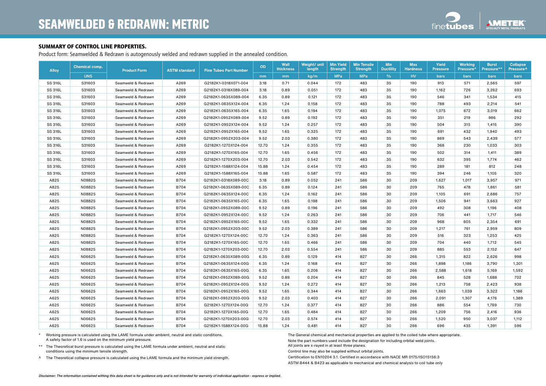

Product form: Seamwelded & Redrawn is autogenously welded and redrawn supplied in the annealed condition.

| Chemical comp.<br><b>Alloy</b> |            | <b>Product Form</b> | <b>ASTM standard</b> | <b>Fine Tubes Part Number</b> | <b>OD</b> | Wall<br>thickness | Weight/ unit<br>length | <b>Min Yield</b><br><b>Strength</b> | <b>Min Tensile</b><br><b>Strength</b> | <b>Min</b><br><b>Ductility</b> | <b>Max</b><br><b>Hardness</b> | Yield<br><b>Pressure</b> | <b>Working</b><br>Pressure* | <b>Burst</b><br>Pressure*' | <b>Collapse</b><br>Pressure <sup>^</sup> |
|--------------------------------|------------|---------------------|----------------------|-------------------------------|-----------|-------------------|------------------------|-------------------------------------|---------------------------------------|--------------------------------|-------------------------------|--------------------------|-----------------------------|----------------------------|------------------------------------------|
|                                | <b>UNS</b> |                     |                      |                               | mm        | mm                | kq/m                   | <b>MPa</b>                          | <b>MPa</b>                            | $\frac{9}{6}$                  | <b>HV</b>                     | bars                     | bars                        | bars                       | bars                                     |
| <b>SS 316L</b>                 | S31603     | Seamweld & Redrawn  | A269                 | G2182K1-0318X071-004          | 3.18      | 0.71              | 0.044                  | 172                                 | 483                                   | 35                             | 190                           | 913                      | 571                         | 2,565                      | 597                                      |
| <b>SS 316L</b>                 | S31603     | Seamweld & Redrawn  | A269                 | G2182K1-0318X089-004          | 3.18      | 0.89              | 0.051                  | 172                                 | 483                                   | 35                             | 190                           | 1,162                    | 726                         | 3,262                      | 693                                      |
| <b>SS 316L</b>                 | S31603     | Seamweld & Redrawn  | A269                 | G2182K1-0635X089-004          | 6.35      | 0.89              | 0.121                  | 172                                 | 483                                   | 35                             | 190                           | 546                      | 341                         | 1,534                      | 415                                      |
| <b>SS 316L</b>                 | S31603     | Seamweld & Redrawn  | A269                 | G2182K1-0635X124-004          | 6.35      | 1.24              | 0.158                  | 172                                 | 483                                   | 35                             | 190                           | 788                      | 493                         | 2,214                      | 541                                      |
| <b>SS 316L</b>                 | S31603     | Seamweld & Redrawn  | A269                 | G2182K1-0635X165-004          | 6.35      | 1.65              | 0.194                  | 172                                 | 483                                   | 35                             | 190                           | 1,075                    | 672                         | 3,019                      | 662                                      |
| <b>SS 316L</b>                 | S31603     | Seamweld & Redrawn  | A269                 | G2182K1-0952X089-004          | 9.52      | 0.89              | 0.192                  | 172                                 | 483                                   | 35                             | 190                           | 351                      | 219                         | 986                        | 292                                      |
| <b>SS 316L</b>                 | S31603     | Seamweld & Redrawn  | A269                 | G2182K1-0952X124-004          | 9.52      | 1.24              | 0.257                  | 172                                 | 483                                   | 35                             | 190                           | 504                      | 315                         | 1,415                      | 390                                      |
| <b>SS 316L</b>                 | S31603     | Seamweld & Redrawn  | A269                 | G2182K1-0952X165-004          | 9.52      | 1.65              | 0.325                  | 172                                 | 483                                   | 35                             | 190                           | 691                      | 432                         | 1,940                      | 493                                      |
| <b>SS 316L</b>                 | S31603     | Seamweld & Redrawn  | A269                 | G2182K1-0952X203-004          | 9.52      | 2.03              | 0.380                  | 172                                 | 483                                   | 35                             | 190                           | 869                      | 543                         | 2,439                      | 577                                      |
| <b>SS 316L</b>                 | S31603     | Seamweld & Redrawn  | A269                 | G2182K1-1270X124-004          | 12.70     | 1.24              | 0.355                  | 172                                 | 483                                   | 35                             | 190                           | 368                      | 230                         | 1,033                      | 303                                      |
| <b>SS 316L</b>                 | S31603     | Seamweld & Redrawn  | A269                 | G2182K1-1270X165-004          | 12.70     | 1.65              | 0.456                  | 172                                 | 483                                   | 35                             | 190                           | 502                      | 314                         | 1,411                      | 389                                      |
| <b>SS 316L</b>                 | S31603     | Seamweld & Redrawn  | A269                 | G2182K1-1270X203-004          | 12.70     | 2.03              | 0.542                  | 172                                 | 483                                   | 35                             | 190                           | 632                      | 395                         | 1,774                      | 462                                      |
| <b>SS 316L</b>                 | S31603     | Seamweld & Redrawn  | A269                 | G2182K1-1588X124-004          | 15.88     | 1.24              | 0.454                  | 172                                 | 483                                   | 35                             | 190                           | 289                      | 181                         | 812                        | 248                                      |
| <b>SS 316L</b>                 | S31603     | Seamweld & Redrawn  | A269                 | G2182K1-1588X165-004          | 15.88     | 1.65              | 0.587                  | 172                                 | 483                                   | 35                             | 190                           | 394                      | 246                         | 1,105                      | 320                                      |
| A825                           | N08825     | Seamweld & Redrawn  | B704                 | G2182K1-0318X089-00C          | 3.18      | 0.89              | 0.052                  | 241                                 | 586                                   | 30                             | 209                           | 1,627                    | 1,017                       | 3,957                      | 971                                      |
| A825                           | N08825     | Seamweld & Redrawn  | B704                 | G2182K1-0635X089-00C          | 6.35      | 0.89              | 0.124                  | 241                                 | 586                                   | 30                             | 209                           | 765                      | 478                         | 1,861                      | 581                                      |
| A825                           | N08825     | Seamweld & Redrawn  | B704                 | G2182K1-0635X124-00C          | 6.35      | 1.24              | 0.162                  | 241                                 | 586                                   | 30                             | 209                           | 1,105                    | 691                         | 2,686                      | 757                                      |
| A825                           | N08825     | Seamweld & Redrawn  | B704                 | G2182K1-0635X165-00C          | 6.35      | 1.65              | 0.198                  | 241                                 | 586                                   | 30                             | 209                           | 1,506                    | 941                         | 3,663                      | 927                                      |
| A825                           | N08825     | Seamweld & Redrawn  | B704                 | G2182K1-0952X089-00C          | 9.52      | 0.89              | 0.196                  | 241                                 | 586                                   | 30                             | 209                           | 492                      | 308                         | 1,196                      | 408                                      |
| A825                           | N08825     | Seamweld & Redrawn  | B704                 | G2182K1-0952X124-00C          | 9.52      | 1.24              | 0.263                  | 241                                 | 586                                   | 30                             | 209                           | 706                      | 441                         | 1,717                      | 546                                      |
| A825                           | N08825     | Seamweld & Redrawn  | B704                 | G2182K1-0952X165-00C          | 9.52      | 1.65              | 0.332                  | 241                                 | 586                                   | 30                             | 209                           | 968                      | 605                         | 2,354                      | 691                                      |
| A825                           | N08825     | Seamweld & Redrawn  | B704                 | G2182K1-0952X203-00C          | 9.52      | 2.03              | 0.389                  | 241                                 | 586                                   | 30                             | 209                           | 1,217                    | 761                         | 2,959                      | 809                                      |
| A825                           | N08825     | Seamweld & Redrawn  | <b>B704</b>          | G2182K1-1270X124-00C          | 12.70     | 1.24              | 0.363                  | 241                                 | 586                                   | 30                             | 209                           | 516                      | 323                         | 1,253                      | 425                                      |
| A825                           | N08825     | Seamweld & Redrawn  | <b>B704</b>          | G2182K1-1270X165-00C          | 12.70     | 1.65              | 0.466                  | 241                                 | 586                                   | 30                             | 209                           | 704                      | 440                         | 1,712                      | 545                                      |
| A825                           | N08825     | Seamweld & Redrawn  | <b>B704</b>          | G2182K1-1270X203-00C          | 12.70     | 2.03              | 0.554                  | 241                                 | 586                                   | 30                             | 209                           | 885                      | 553                         | 2,152                      | 647                                      |
| A625                           | N06625     | Seamweld & Redrawn  | <b>B704</b>          | G2182K1-0635X089-00G          | 6.35      | 0.89              | 0.129                  | 414                                 | 827                                   | 30                             | 266                           | 1,315                    | 822                         | 2,626                      | 998                                      |
| A625                           | N06625     | Seamweld & Redrawn  | <b>B704</b>          | G2182K1-0635X124-00G          | 6.35      | 1.24              | 0.168                  | 414                                 | 827                                   | 30                             | 266                           | 1,898                    | 1,186                       | 3,790                      | 1,301                                    |
| A625                           | N06625     | Seamweld & Redrawn  | <b>B704</b>          | G2182K1-0635X165-00G          | 6.35      | 1.65              | 0.206                  | 414                                 | 827                                   | 30                             | 266                           | 2,588                    | 1,618                       | 5,169                      | 1,592                                    |
| A625                           | N06625     | Seamweld & Redrawn  | <b>B704</b>          | G2182K1-0952X089-00G          | 9.52      | 0.89              | 0.204                  | 414                                 | 827                                   | 30                             | 266                           | 845                      | 528                         | 1,688                      | 702                                      |
| A625                           | N06625     | Seamweld & Redrawn  | <b>B704</b>          | G2182K1-0952X124-00G          | 9.52      | 1.24              | 0.272                  | 414                                 | 827                                   | 30                             | 266                           | 1,213                    | 758                         | 2,423                      | 938                                      |
| A625                           | N06625     | Seamweld & Redrawn  | B704                 | G2182K1-0952X165-00G          | 9.52      | 1.65              | 0.344                  | 414                                 | 827                                   | 30                             | 266                           | 1,663                    | 1,039                       | 3,322                      | 1,186                                    |
| A625                           | N06625     | Seamweld & Redrawn  | <b>B704</b>          | G2182K1-0952X203-00G          | 9.52      | 2.03              | 0.403                  | 414                                 | 827                                   | 30                             | 266                           | 2,091                    | 1,307                       | 4,176                      | 1,389                                    |
| A625                           | N06625     | Seamweld & Redrawn  | <b>B704</b>          | G2182K1-1270X124-00G          | 12.70     | 1.24              | 0.377                  | 414                                 | 827                                   | 30                             | 266                           | 886                      | 554                         | 1,769                      | 730                                      |
| A625                           | N06625     | Seamweld & Redrawn  | <b>B704</b>          | G2182K1-1270X165-00G          | 12.70     | 1.65              | 0.484                  | 414                                 | 827                                   | 30                             | 266                           | 1,209                    | 756                         | 2,416                      | 936                                      |
| A625                           | N06625     | Seamweld & Redrawn  | <b>B704</b>          | G2182K1-1270X203-00G          | 12.70     | 2.03              | 0.574                  | 414                                 | 827                                   | 30                             | 266                           | 1,520                    | 950                         | 3,037                      | 1,112                                    |
| A625                           | N06625     | Seamweld & Redrawn  | B704                 | G2182K1-1588X124-00G          | 15.88     | 1.24              | 0.481                  | 414                                 | 827                                   | 30                             | 266                           | 696                      | 435                         | 1,391                      | 596                                      |

\* Working pressure is calculated using the LAME formula under ambient, neutral and static conditions. A safety factor of 1.6 is used on the minimum yield pressure.

\*\* The Theoretical burst pressure is calculated using the LAME formula under ambient, neutral and static conditions using the minimum tensile strength.

^ The Theoretical collapse pressure is calculated using the LAME formula and the minimum yield strength.

The General chemical and mechanical properties are applied to the coiled tube where appropriate.

Note the part numbers used include the designation for including orbital weld joints.

All joints are x-rayed in at least three planes.

Control line may also be supplied without orbital joints.

Certification to EN10204 3.1. Certified in accordance with NACE MR 0175/ISO15156:3

ASTM B444 & B423 as applicable to mechanical and chemical analysis to coil tube only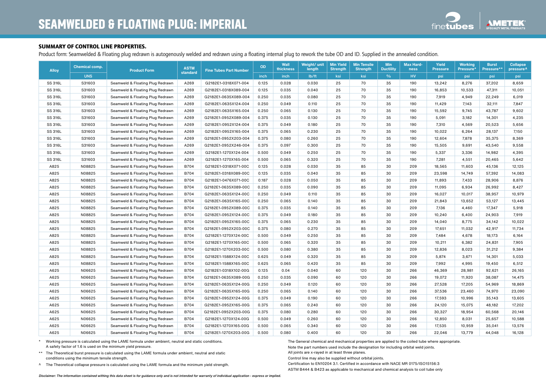

Product form: Seamwelded & Floating plug redrawn is autogenously welded and redrawn using a floating internal plug to rework the tube OD and ID. Supplied in the annealed condition.

| <b>Chemical comp.</b><br><b>Alloy</b> |            | <b>Product Form</b>              | <b>ASTM</b><br>standard | <b>Fine Tubes Part Number</b> | OD    | <b>Wall</b><br>thickness | Weight/unit<br>length | <b>Min Yield</b><br><b>Strength</b> | <b>Min Tensile</b><br><b>Strength</b> | <b>Min</b><br><b>Ductility</b> | <b>Max Hard-</b><br>ness | Yield<br><b>Pressure</b> | <b>Working</b><br>Pressure* | <b>Burst</b><br>Pressure** | <b>Collapse</b><br>pressure^ |
|---------------------------------------|------------|----------------------------------|-------------------------|-------------------------------|-------|--------------------------|-----------------------|-------------------------------------|---------------------------------------|--------------------------------|--------------------------|--------------------------|-----------------------------|----------------------------|------------------------------|
|                                       | <b>UNS</b> |                                  |                         |                               | inch  | inch                     | lb/ft                 | ksi                                 | ksi                                   | $\frac{0}{0}$                  | <b>HV</b>                | psi                      | psi                         | psi                        | psi                          |
| <b>SS 316L</b>                        | S31603     | Seamweld & Floating Plug Redrawn | A269                    | G2182E1-0318X071-004          | 0.125 | 0.028                    | 0.030                 | 25                                  | 70                                    | 35                             | 190                      | 13,242                   | 8,276                       | 37,202                     | 8,659                        |
| <b>SS 316L</b>                        | S31603     | Seamweld & Floating Plug Redrawn | A269                    | G2182E1-0318X089-004          | 0.125 | 0.035                    | 0.040                 | 25                                  | 70                                    | 35                             | 190                      | 16,853                   | 10,533                      | 47,311                     | 10,051                       |
| <b>SS 316L</b>                        | S31603     | Seamweld & Floating Plug Redrawn | A269                    | G2182E1-0635X089-004          | 0.250 | 0.035                    | 0.080                 | 25                                  | 70                                    | 35                             | 190                      | 7,919                    | 4,949                       | 22,249                     | 6,019                        |
| <b>SS 316L</b>                        | S31603     | Seamweld & Floating Plug Redrawn | A269                    | G2182E1-0635X124-004          | 0.250 | 0.049                    | 0.110                 | 25                                  | 70                                    | 35                             | 190                      | 11,429                   | 7,143                       | 32,111                     | 7,847                        |
| <b>SS 316L</b>                        | S31603     | Seamweld & Floating Plug Redrawn | A269                    | G2182E1-0635X165-004          | 0.250 | 0.065                    | 0.130                 | 25                                  | 70                                    | 35                             | 190                      | 15,592                   | 9,745                       | 43,787                     | 9,602                        |
| <b>SS 316L</b>                        | S31603     | Seamweld & Floating Plug Redrawn | A269                    | G2182E1-0952X089-004          | 0.375 | 0.035                    | 0.130                 | 25                                  | 70                                    | 35                             | 190                      | 5,091                    | 3,182                       | 14,301                     | 4,235                        |
| <b>SS 316L</b>                        | S31603     | Seamweld & Floating Plug Redrawn | A269                    | G2182E1-0952X124-004          | 0.375 | 0.049                    | 0.180                 | 25                                  | 70                                    | 35                             | 190                      | 7,310                    | 4,569                       | 20,523                     | 5,656                        |
| <b>SS 316L</b>                        | S31603     | Seamweld & Floating Plug Redrawn | A269                    | G2182E1-0952X165-004          | 0.375 | 0.065                    | 0.230                 | 25                                  | 70                                    | 35                             | 190                      | 10,022                   | 6,264                       | 28,137                     | 7,150                        |
| <b>SS 316L</b>                        | S31603     | Seamweld & Floating Plug Redrawn | A269                    | G2182E1-0952X203-004          | 0.375 | 0.080                    | 0.260                 | 25                                  | 70                                    | 35                             | 190                      | 12,604                   | 7,878                       | 35,375                     | 8,369                        |
| <b>SS 316L</b>                        | S31603     | Seamweld & Floating Plug Redrawn | A269                    | G2182E1-0952X246-004          | 0.375 | 0.097                    | 0.300                 | 25                                  | 70                                    | 35                             | 190                      | 15,505                   | 9,691                       | 43,540                     | 9,558                        |
| <b>SS 316L</b>                        | S31603     | Seamweld & Floating Plug Redrawn | A269                    | G2182E1-1270X124-004          | 0.500 | 0.049                    | 0.250                 | 25                                  | 70                                    | 35                             | 190                      | 5,337                    | 3,336                       | 14,982                     | 4,395                        |
| <b>SS 316L</b>                        | S31603     | Seamweld & Floating Plug Redrawn | A269                    | G2182E1-1270X165-004          | 0.500 | 0.065                    | 0.320                 | 25                                  | 70                                    | 35                             | 190                      | 7,281                    | 4,551                       | 20,465                     | 5,642                        |
| A825                                  | N08825     | Seamweld & Floating Plug Redrawn | <b>B704</b>             | G2182E1-0318X071-00C          | 0.125 | 0.028                    | 0.030                 | 35                                  | 85                                    | 30                             | 209                      | 18,565                   | 11,603                      | 45,136                     | 12,125                       |
| A825                                  | N08825     | Seamweld & Floating Plug Redrawn | B704                    | G2182E1-0318X089-00C          | 0.125 | 0.035                    | 0.040                 | 35                                  | 85                                    | 30                             | 209                      | 23,598                   | 14,749                      | 57,392                     | 14,083                       |
| A825                                  | N08825     | Seamweld & Floating Plug Redrawn | <b>B704</b>             | G2182E1-0476X071-00C          | 0.187 | 0.028                    | 0.050                 | 35                                  | 85                                    | 30                             | 209                      | 11,893                   | 7,433                       | 28,906                     | 8,876                        |
| A825                                  | N08825     | Seamweld & Floating Plug Redrawn | B704                    | G2182E1-0635X089-00C          | 0.250 | 0.035                    | 0.090                 | 35                                  | 85                                    | 30                             | 209                      | 11,095                   | 6,934                       | 26,992                     | 8,427                        |
| A825                                  | N08825     | Seamweld & Floating Plug Redrawn | <b>B704</b>             | G2182E1-0635X124-00C          | 0.250 | 0.049                    | 0.110                 | 35                                  | 85                                    | 30                             | 209                      | 16,027                   | 10,017                      | 38,957                     | 10,979                       |
| A825                                  | N08825     | Seamweld & Floating Plug Redrawn | <b>B704</b>             | G2182E1-0635X165-00C          | 0.250 | 0.065                    | 0.140                 | 35                                  | 85                                    | 30                             | 209                      | 21,843                   | 13,652                      | 53,127                     | 13,445                       |
| A825                                  | N08825     | Seamweld & Floating Plug Redrawn | <b>B704</b>             | G2182E1-0952X089-00C          | 0.375 | 0.035                    | 0.140                 | 35                                  | 85                                    | 30                             | 209                      | 7,136                    | 4,460                       | 17,347                     | 5,918                        |
| A825                                  | N08825     | Seamweld & Floating Plug Redrawn | B704                    | G2182E1-0952X124-00C          | 0.375 | 0.049                    | 0.180                 | 35                                  | 85                                    | 30                             | 209                      | 10,240                   | 6,400                       | 24,903                     | 7,919                        |
| A825                                  | N08825     | Seamweld & Floating Plug Redrawn | B704                    | G2182E1-0952X165-00C          | 0.375 | 0.065                    | 0.230                 | 35                                  | 85                                    | 30                             | 209                      | 14,040                   | 8,775                       | 34,142                     | 10,022                       |
| A825                                  | N08825     | Seamweld & Floating Plug Redrawn | B704                    | G2182E1-0952X203-00C          | 0.375 | 0.080                    | 0.270                 | 35                                  | 85                                    | 30                             | 209                      | 17,651                   | 11,032                      | 42,917                     | 11,734                       |
| A825                                  | N08825     | Seamweld & Floating Plug Redrawn | <b>B704</b>             | G2182E1-1270X124-00C          | 0.500 | 0.049                    | 0.250                 | 35                                  | 85                                    | 30                             | 209                      | 7,484                    | 4,678                       | 18,173                     | 6,164                        |
| A825                                  | N08825     | Seamweld & Floating Plug Redrawn | <b>B704</b>             | G2182E1-1270X165-00C          | 0.500 | 0.065                    | 0.320                 | 35                                  | 85                                    | 30                             | 209                      | 10,211                   | 6,382                       | 24,831                     | 7,905                        |
| A825                                  | N08825     | Seamweld & Floating Plug Redrawn | B704                    | G2182E1-1270X203-00C          | 0.500 | 0.080                    | 0.380                 | 35                                  | 85                                    | 30                             | 209                      | 12,836                   | 8,023                       | 31,212                     | 9,384                        |
| A825                                  | N08825     | Seamweld & Floating Plug Redrawn | <b>B704</b>             | G2182E1-1588X124-00C          | 0.625 | 0.049                    | 0.320                 | 35                                  | 85                                    | 30                             | 209                      | 5,874                    | 3,671                       | 14,301                     | 5,033                        |
| A825                                  | N08825     | Seamweld & Floating Plug Redrawn | <b>B704</b>             | G2182E1-1588X165-00C          | 0.625 | 0.065                    | 0.420                 | 35                                  | 85                                    | 30                             | 209                      | 7,992                    | 4,995                       | 19,450                     | 6,512                        |
| A625                                  | N06625     | Seamweld & Floating Plug Redrawn | B704                    | G2182E1-0318X102-00G          | 0.125 | 0.04                     | 0.040                 | 60                                  | 120                                   | 30                             | 266                      | 46,369                   | 28,981                      | 92,621                     | 26,165                       |
| A625                                  | N06625     | Seamweld & Floating Plug Redrawn | B704                    | G2182E1-0635X089-00G          | 0.250 | 0.035                    | 0.090                 | 60                                  | 120                                   | 30                             | 266                      | 19,072                   | 11,920                      | 38,087                     | 14,475                       |
| A625                                  | N06625     | Seamweld & Floating Plug Redrawn | B704                    | G2182E1-0635X124-00G          | 0.250 | 0.049                    | 0.120                 | 60                                  | 120                                   | 30                             | 266                      | 27,528                   | 17,205                      | 54,969                     | 18,869                       |
| A625                                  | N06625     | Seamweld & Floating Plug Redrawn | <b>B704</b>             | G2182E1-0635X165-00G          | 0.250 | 0.065                    | 0.140                 | 60                                  | 120                                   | 30                             | 266                      | 37,536                   | 23,460                      | 74,970                     | 23,090                       |
| A625                                  | N06625     | Seamweld & Floating Plug Redrawn | <b>B704</b>             | G2182E1-0952X124-00G          | 0.375 | 0.049                    | 0.190                 | 60                                  | 120                                   | 30                             | 266                      | 17,593                   | 10,996                      | 35,143                     | 13,605                       |
| A625                                  | N06625     | Seamweld & Floating Plug Redrawn | <b>B704</b>             | G2182E1-0952X165-00G          | 0.375 | 0.065                    | 0.240                 | 60                                  | 120                                   | 30                             | 266                      | 24,120                   | 15,075                      | 48,182                     | 17,202                       |
| A625                                  | N06625     | Seamweld & Floating Plug Redrawn | <b>B704</b>             | G2182E1-0952X203-00G          | 0.375 | 0.080                    | 0.280                 | 60                                  | 120                                   | 30                             | 266                      | 30,327                   | 18,954                      | 60,568                     | 20,146                       |
| A625                                  | N06625     | Seamweld & Floating Plug Redrawn | <b>B704</b>             | G2182E1-1270X124-00G          | 0.500 | 0.049                    | 0.260                 | 60                                  | 120                                   | 30                             | 266                      | 12,850                   | 8,031                       | 25,657                     | 10,588                       |
| A625                                  | N06625     | Seamweld & Floating Plug Redrawn | <b>B704</b>             | G2182E1-1270X165-00G          | 0.500 | 0.065                    | 0.340                 | 60                                  | 120                                   | 30                             | 266                      | 17,535                   | 10,959                      | 35,041                     | 13,576                       |
| A625                                  | N06625     | Seamweld & Floating Plug Redrawn | B704                    | G2182E1-1270X203-00G          | 0.500 | 0.080                    | 0.400                 | 60                                  | 120                                   | 30                             | 266                      | 22,046                   | 13,779                      | 44,048                     | 16,128                       |

\* Working pressure is calculated using the LAME formula under ambient, neutral and static conditions. A safety factor of 1.6 is used on the minimum yield pressure.

\*\* The Theoretical burst pressure is calculated using the LAME formula under ambient, neutral and static conditions using the minimum tensile strength.

^ The Theoretical collapse pressure is calculated using the LAME formula and the minimum yield strength.

The General chemical and mechanical properties are applied to the coiled tube where appropriate.

Note the part numbers used include the designation for including orbital weld joints.

All joints are x-rayed in at least three planes.

Control line may also be supplied without orbital joints.

Certification to EN10204 3.1. Certified in accordance with NACE MR 0175/ISO15156:3

ASTM B444 & B423 as applicable to mechanical and chemical analysis to coil tube only

*Disclaimer: The information contained withing this data sheet is for guidance only and is not intended for warranty of individual application - express or implied.*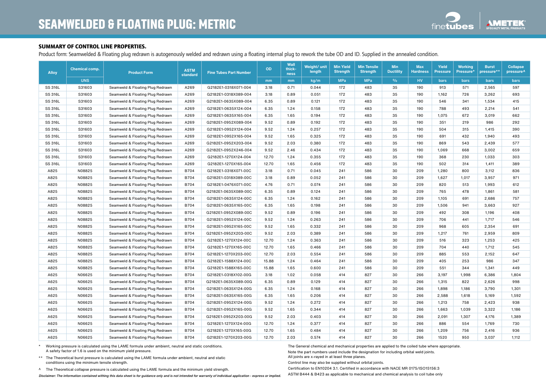

Product form: Seamwelded & Floating plug redrawn is autogenously welded and redrawn using a floating internal plug to rework the tube OD and ID. Supplied in the annealed condition.

| <b>Alloy</b>   | <b>Chemical comp.</b> | <b>Product Form</b>              | <b>ASTM</b><br>standard | <b>Fine Tubes Part Number</b> | <b>OD</b> | Wall<br>thick-<br>ness | Weight/ unit<br>length | <b>Min Yield</b><br><b>Strength</b> | <b>Min Tensile</b><br><b>Strength</b> | <b>Min</b><br><b>Ductility</b> | <b>Max</b><br><b>Hardness</b> | Yield<br><b>Pressure</b> | <b>Working</b><br>Pressure* | <b>Burst</b><br>pressure** | <b>Collapse</b><br>pressure <sup>^</sup> |
|----------------|-----------------------|----------------------------------|-------------------------|-------------------------------|-----------|------------------------|------------------------|-------------------------------------|---------------------------------------|--------------------------------|-------------------------------|--------------------------|-----------------------------|----------------------------|------------------------------------------|
|                | <b>UNS</b>            |                                  |                         |                               | mm        | mm                     | kg/m                   | <b>MPa</b>                          | <b>MPa</b>                            | $\frac{9}{6}$                  | <b>HV</b>                     | bars                     | bars                        | bars                       | <b>bars</b>                              |
| <b>SS 316L</b> | S31603                | Seamweld & Floating Plug Redrawn | A269                    | G2182E1-0318X071-004          | 3.18      | 0.71                   | 0.044                  | 172                                 | 483                                   | 35                             | 190                           | 913                      | 571                         | 2,565                      | 597                                      |
| <b>SS 316L</b> | S31603                | Seamweld & Floating Plug Redrawn | A269                    | G2182E1-0318X089-004          | 3.18      | 0.89                   | 0.051                  | 172                                 | 483                                   | 35                             | 190                           | 1,162                    | 726                         | 3,262                      | 693                                      |
| <b>SS 316L</b> | S31603                | Seamweld & Floating Plug Redrawn | A269                    | G2182E1-0635X089-004          | 6.35      | 0.89                   | 0.121                  | 172                                 | 483                                   | 35                             | 190                           | 546                      | 341                         | 1,534                      | 415                                      |
| <b>SS 316L</b> | S31603                | Seamweld & Floating Plug Redrawn | A269                    | G2182E1-0635X124-004          | 6.35      | 1.24                   | 0.158                  | 172                                 | 483                                   | 35                             | 190                           | 788                      | 493                         | 2,214                      | 541                                      |
| <b>SS 316L</b> | S31603                | Seamweld & Floating Plug Redrawn | A269                    | G2182E1-0635X165-004          | 6.35      | 1.65                   | 0.194                  | 172                                 | 483                                   | 35                             | 190                           | 1,075                    | 672                         | 3,019                      | 662                                      |
| <b>SS 316L</b> | S31603                | Seamweld & Floating Plug Redrawn | A269                    | G2182E1-0952X089-004          | 9.52      | 0.89                   | 0.192                  | 172                                 | 483                                   | 35                             | 190                           | 351                      | 219                         | 986                        | 292                                      |
| <b>SS 316L</b> | S31603                | Seamweld & Floating Plug Redrawn | A269                    | G2182E1-0952X124-004          | 9.52      | 1.24                   | 0.257                  | 172                                 | 483                                   | 35                             | 190                           | 504                      | 315                         | 1,415                      | 390                                      |
| <b>SS 316L</b> | S31603                | Seamweld & Floating Plug Redrawn | A269                    | G2182E1-0952X165-004          | 9.52      | 1.65                   | 0.325                  | 172                                 | 483                                   | 35                             | 190                           | 691                      | 432                         | 1,940                      | 493                                      |
| <b>SS 316L</b> | S31603                | Seamweld & Floating Plug Redrawn | A269                    | G2182E1-0952X203-004          | 9.52      | 2.03                   | 0.380                  | 172                                 | 483                                   | 35                             | 190                           | 869                      | 543                         | 2,439                      | 577                                      |
| <b>SS 316L</b> | S31603                | Seamweld & Floating Plug Redrawn | A269                    | G2182E1-0952X246-004          | 9.52      | 2.46                   | 0.434                  | 172                                 | 483                                   | 35                             | 190                           | 1,069                    | 668                         | 3,002                      | 659                                      |
| <b>SS 316L</b> | S31603                | Seamweld & Floating Plug Redrawn | A269                    | G2182E1-1270X124-004          | 12.70     | 1.24                   | 0.355                  | 172                                 | 483                                   | 35                             | 190                           | 368                      | 230                         | 1,033                      | 303                                      |
| <b>SS 316L</b> | S31603                | Seamweld & Floating Plug Redrawn | A269                    | G2182E1-1270X165-004          | 12.70     | 1.65                   | 0.456                  | 172                                 | 483                                   | 35                             | 190                           | 502                      | 314                         | 1,411                      | 389                                      |
| A825           | N08825                | Seamweld & Floating Plug Redrawn | <b>B704</b>             | G2182E1-0318X071-00C          | 3.18      | 0.71                   | 0.045                  | 241                                 | 586                                   | 30                             | 209                           | 1,280                    | 800                         | 3,112                      | 836                                      |
| A825           | N08825                | Seamweld & Floating Plug Redrawn | B704                    | G2182E1-0318X089-00C          | 3.18      | 0.89                   | 0.052                  | 241                                 | 586                                   | 30                             | 209                           | 1,627                    | 1,017                       | 3,957                      | 971                                      |
| A825           | N08825                | Seamweld & Floating Plug Redrawn | B704                    | G2182E1-0476X071-00C          | 4.76      | 0.71                   | 0.074                  | 241                                 | 586                                   | 30                             | 209                           | 820                      | 513                         | 1,993                      | 612                                      |
| A825           | N08825                | Seamweld & Floating Plug Redrawn | B704                    | G2182E1-0635X089-00C          | 6.35      | 0.89                   | 0.124                  | 241                                 | 586                                   | 30                             | 209                           | 765                      | 478                         | 1,861                      | 581                                      |
| A825           | N08825                | Seamweld & Floating Plug Redrawn | B704                    | G2182E1-0635X124-00C          | 6.35      | 1.24                   | 0.162                  | 241                                 | 586                                   | 30                             | 209                           | 1,105                    | 691                         | 2,686                      | 757                                      |
| A825           | N08825                | Seamweld & Floating Plug Redrawn | B704                    | G2182E1-0635X165-00C          | 6.35      | 1.65                   | 0.198                  | 241                                 | 586                                   | 30                             | 209                           | 1,506                    | 941                         | 3,663                      | 927                                      |
| A825           | N08825                | Seamweld & Floating Plug Redrawn | B704                    | G2182E1-0952X089-00C          | 9.52      | 0.89                   | 0.196                  | 241                                 | 586                                   | 30                             | 209                           | 492                      | 308                         | 1,196                      | 408                                      |
| A825           | N08825                | Seamweld & Floating Plug Redrawn | B704                    | G2182E1-0952X124-00C          | 9.52      | 1.24                   | 0.263                  | 241                                 | 586                                   | 30                             | 209                           | 706                      | 441                         | 1,717                      | 546                                      |
| A825           | N08825                | Seamweld & Floating Plug Redrawn | B704                    | G2182E1-0952X165-00C          | 9.52      | 1.65                   | 0.332                  | 241                                 | 586                                   | 30                             | 209                           | 968                      | 605                         | 2,354                      | 691                                      |
| A825           | N08825                | Seamweld & Floating Plug Redrawn | <b>B704</b>             | G2182E1-0952X203-00C          | 9.52      | 2.03                   | 0.389                  | 241                                 | 586                                   | 30                             | 209                           | 1,217                    | 761                         | 2,959                      | 809                                      |
| A825           | N08825                | Seamweld & Floating Plug Redrawn | B704                    | G2182E1-1270X124-00C          | 12.70     | 1.24                   | 0.363                  | 241                                 | 586                                   | 30                             | 209                           | 516                      | 323                         | 1,253                      | 425                                      |
| A825           | N08825                | Seamweld & Floating Plug Redrawn | B704                    | G2182E1-1270X165-00C          | 12.70     | 1.65                   | 0.466                  | 241                                 | 586                                   | 30                             | 209                           | 704                      | 440                         | 1,712                      | 545                                      |
| A825           | N08825                | Seamweld & Floating Plug Redrawn | <b>B704</b>             | G2182E1-1270X203-00C          | 12.70     | 2.03                   | 0.554                  | 241                                 | 586                                   | 30                             | 209                           | 885                      | 553                         | 2,152                      | 647                                      |
| A825           | N08825                | Seamweld & Floating Plug Redrawn | B704                    | G2182E1-1588X124-00C          | 15.88     | 1.24                   | 0.464                  | 241                                 | 586                                   | 30                             | 209                           | 405                      | 253                         | 986                        | 347                                      |
| A825           | N08825                | Seamweld & Floating Plug Redrawn | B704                    | G2182E1-1588X165-00C          | 15.88     | 1.65                   | 0.600                  | 241                                 | 586                                   | 30                             | 209                           | 551                      | 344                         | 1,341                      | 449                                      |
| A625           | N06625                | Seamweld & Floating Plug Redrawn | <b>B704</b>             | G2182E1-0318X102-00G          | 3.18      | 1.02                   | 0.058                  | 414                                 | 827                                   | 30                             | 266                           | 3,197                    | 1,998                       | 6,386                      | 1,804                                    |
| A625           | N06625                | Seamweld & Floating Plug Redrawn | <b>B704</b>             | G2182E1-0635X089-00G          | 6.35      | 0.89                   | 0.129                  | 414                                 | 827                                   | 30                             | 266                           | 1,315                    | 822                         | 2,626                      | 998                                      |
| A625           | N06625                | Seamweld & Floating Plug Redrawn | B704                    | G2182E1-0635X124-00G          | 6.35      | 1.24                   | 0.168                  | 414                                 | 827                                   | 30                             | 266                           | 1,898                    | 1,186                       | 3,790                      | 1,301                                    |
| A625           | N06625                | Seamweld & Floating Plug Redrawn | B704                    | G2182E1-0635X165-00G          | 6.35      | 1.65                   | 0.206                  | 414                                 | 827                                   | 30                             | 266                           | 2,588                    | 1,618                       | 5,169                      | 1,592                                    |
| A625           | N06625                | Seamweld & Floating Plug Redrawn | <b>B704</b>             | G2182E1-0952X124-00G          | 9.52      | 1.24                   | 0.272                  | 414                                 | 827                                   | 30                             | 266                           | 1,213                    | 758                         | 2,423                      | 938                                      |
| A625           | N06625                | Seamweld & Floating Plug Redrawn | B704                    | G2182E1-0952X165-00G          | 9.52      | 1.65                   | 0.344                  | 414                                 | 827                                   | 30                             | 266                           | 1,663                    | 1,039                       | 3,322                      | 1,186                                    |
| A625           | N06625                | Seamweld & Floating Plug Redrawn | B704                    | G2182E1-0952X203-00G          | 9.52      | 2.03                   | 0.403                  | 414                                 | 827                                   | 30                             | 266                           | 2,091                    | 1,307                       | 4,176                      | 1,389                                    |
| A625           | N06625                | Seamweld & Floating Plug Redrawn | <b>B704</b>             | G2182E1-1270X124-00G          | 12.70     | 1.24                   | 0.377                  | 414                                 | 827                                   | 30                             | 266                           | 886                      | 554                         | 1,769                      | 730                                      |
| A625           | N06625                | Seamweld & Floating Plug Redrawn | <b>B704</b>             | G2182E1-1270X165-00G          | 12.70     | 1.65                   | 0.484                  | 414                                 | 827                                   | 30                             | 266                           | 1,209                    | 756                         | 2,416                      | 936                                      |
| A625           | N06625                | Seamweld & Floating Plug Redrawn | <b>B704</b>             | G2182E1-1270X203-00G          | 12.70     | 2.03                   | 0.574                  | 414                                 | 827                                   | 30                             | 266                           | 1520                     | 950                         | 3,037                      | 1,112                                    |

\* Working pressure is calculated using the LAME formula under ambient, neutral and static conditions. A safety factor of 1.6 is used on the minimum yield pressure.

\*\* The Theoretical burst pressure is calculated using the LAME formula under ambient, neutral and static conditions using the minimum tensile strength.

^ The Theoretical collapse pressure is calculated using the LAME formula and the minimum yield strength.

Disclaimer: The information contained withing this data sheet is for guidance only and is not intended for warranty of individual application - express or implied. ASTM B444 & B423 as applicable to mechanical and chemical

The General chemical and mechanical properties are applied to the coiled tube where appropriate. Note the part numbers used include the designation for including orbital weld joints.

All joints are x-rayed in at least three planes.

Control line may also be supplied without orbital joints.

Certification to EN10204 3.1. Certified in accordance with NACE MR 0175/ISO15156:3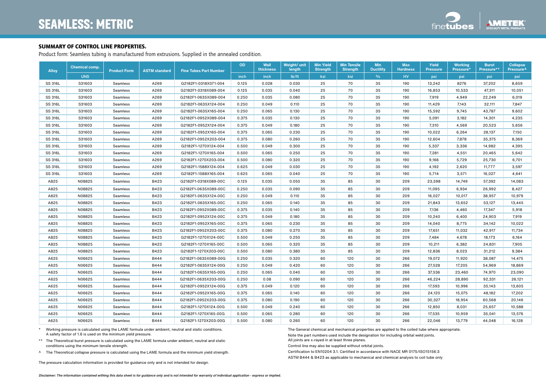

Product form: Seamless tubing is manufactured from extrusions. Supplied in the annealed condition.

| <b>Alloy</b>   | Chemical comp. | <b>Product Form</b> | <b>ASTM standard</b> | <b>Fine Tubes Part Number</b> | OD    | Wall<br>thickness | Weight/ unit<br>length | <b>Min Yield</b><br><b>Strength</b> | <b>Min Tensile</b><br><b>Strength</b> | <b>Min</b><br><b>Ductility</b> | <b>Max</b><br><b>Hardness</b> | Yield<br><b>Pressure</b> | <b>Working</b><br>Pressure* | <b>Burst</b><br>Pressure** | <b>Collapse</b><br>Pressure <sup>^</sup> |
|----------------|----------------|---------------------|----------------------|-------------------------------|-------|-------------------|------------------------|-------------------------------------|---------------------------------------|--------------------------------|-------------------------------|--------------------------|-----------------------------|----------------------------|------------------------------------------|
|                | <b>UNS</b>     |                     |                      |                               | inch  | inch              | lb/ft                  | ksi                                 | ksi                                   | $\frac{0}{0}$                  | <b>HV</b>                     | psi                      | psi                         | psi                        | psi                                      |
| <b>SS 316L</b> | S31603         | Seamless            | A269                 | G2182F1-0318X071-004          | 0.125 | 0.028             | 0.030                  | 25                                  | 70                                    | 35                             | 190                           | 13,242                   | 8276                        | 37,202                     | 8,659                                    |
| <b>SS 316L</b> | S31603         | Seamless            | A269                 | G2182F1-0318X089-004          | 0.125 | 0.035             | 0.040                  | 25                                  | 70                                    | 35                             | 190                           | 16,853                   | 10,533                      | 47,311                     | 10,051                                   |
| <b>SS 316L</b> | S31603         | Seamless            | A269                 | G2182F1-0635X089-004          | 0.250 | 0.035             | 0.080                  | 25                                  | 70                                    | 35                             | 190                           | 7,919                    | 4,949                       | 22,249                     | 6,019                                    |
| <b>SS 316L</b> | S31603         | Seamless            | A269                 | G2182F1-0635X124-004          | 0.250 | 0.049             | 0.110                  | 25                                  | 70                                    | 35                             | 190                           | 11,429                   | 7,143                       | 32,111                     | 7,847                                    |
| <b>SS 316L</b> | S31603         | Seamless            | A269                 | G2182F1-0635X165-004          | 0.250 | 0.065             | 0.130                  | 25                                  | 70                                    | 35                             | 190                           | 15,592                   | 9,745                       | 43,787                     | 9,602                                    |
| <b>SS 316L</b> | S31603         | Seamless            | A269                 | G2182F1-0952X089-004          | 0.375 | 0.035             | 0.130                  | 25                                  | 70                                    | 35                             | 190                           | 5,091                    | 3,182                       | 14,301                     | 4,235                                    |
| <b>SS 316L</b> | S31603         | Seamless            | A269                 | G2182F1-0952X124-004          | 0.375 | 0.049             | 0.180                  | 25                                  | 70                                    | 35                             | 190                           | 7,310                    | 4,569                       | 20,523                     | 5,656                                    |
| <b>SS 316L</b> | S31603         | Seamless            | A269                 | G2182F1-0952X165-004          | 0.375 | 0.065             | 0.230                  | 25                                  | 70                                    | 35                             | 190                           | 10,022                   | 6,264                       | 28,137                     | 7,150                                    |
| <b>SS 316L</b> | S31603         | Seamless            | A269                 | G2182F1-0952X203-004          | 0.375 | 0.080             | 0.260                  | 25                                  | 70                                    | 35                             | 190                           | 12,604                   | 7,878                       | 35,375                     | 8,369                                    |
| <b>SS 316L</b> | S31603         | Seamless            | A269                 | G2182F1-1270X124-004          | 0.500 | 0.049             | 0.300                  | 25                                  | 70                                    | 35                             | 190                           | 5,337                    | 3,336                       | 14,982                     | 4,395                                    |
| <b>SS 316L</b> | S31603         | Seamless            | A269                 | G2182F1-1270X165-004          | 0.500 | 0.065             | 0.250                  | 25                                  | 70                                    | 35                             | 190                           | 7,281                    | 4,551                       | 20,465                     | 5,642                                    |
| <b>SS 316L</b> | S31603         | Seamless            | A269                 | G2182F1-1270X203-004          | 0.500 | 0.080             | 0.320                  | 25                                  | 70                                    | 35                             | 190                           | 9,166                    | 5,729                       | 25,730                     | 6,701                                    |
| <b>SS 316L</b> | S31603         | Seamless            | A269                 | G2182F1-1588X124-004          | 0.625 | 0.049             | 0.030                  | 25                                  | 70                                    | 35                             | 190                           | 4,192                    | 2,620                       | 11,777                     | 3,597                                    |
| <b>SS 316L</b> | S31603         | Seamless            | A269                 | G2182F1-1588X165-004          | 0.625 | 0.065             | 0.040                  | 25                                  | 70                                    | 35                             | 190                           | 5,714                    | 3,571                       | 16,027                     | 4,641                                    |
| A825           | N08825         | Seamless            | B423                 | G2182F1-0318X089-00C          | 0.125 | 0.035             | 0.050                  | 35                                  | 85                                    | 30                             | 209                           | 23,598                   | 14,749                      | 57,392                     | 14,083                                   |
| A825           | N08825         | Seamless            | B423                 | G2182F1-0635X089-00C          | 0.250 | 0.035             | 0.090                  | 35                                  | 85                                    | 30                             | 209                           | 11,095                   | 6,934                       | 26,992                     | 8,427                                    |
| A825           | N08825         | Seamless            | B423                 | G2182F1-0635X124-00C          | 0.250 | 0.049             | 0.110                  | 35                                  | 85                                    | 30                             | 209                           | 16,027                   | 10,017                      | 38,957                     | 10,979                                   |
| A825           | N08825         | Seamless            | B423                 | G2182F1-0635X165-00C          | 0.250 | 0.065             | 0.140                  | 35                                  | 85                                    | 30                             | 209                           | 21,843                   | 13,652                      | 53,127                     | 13,445                                   |
| A825           | N08825         | Seamless            | B423                 | G2182F1-0952X089-00C          | 0.375 | 0.035             | 0.140                  | 35                                  | 85                                    | 30                             | 209                           | 7,136                    | 4,460                       | 17,347                     | 5,918                                    |
| A825           | N08825         | Seamless            | B423                 | G2182F1-0952X124-00C          | 0.375 | 0.049             | 0.180                  | 35                                  | 85                                    | 30                             | 209                           | 10,240                   | 6,400                       | 24,903                     | 7,919                                    |
| A825           | N08825         | Seamless            | B423                 | G2182F1-0952X165-00C          | 0.375 | 0.065             | 0.230                  | 35                                  | 85                                    | 30                             | 209                           | 14,040                   | 8,775                       | 34,142                     | 10,022                                   |
| A825           | N08825         | Seamless            | B423                 | G2182F1-0952X203-00C          | 0.375 | 0.080             | 0.270                  | 35                                  | 85                                    | 30                             | 209                           | 17,651                   | 11,032                      | 42,917                     | 11,734                                   |
| A825           | N08825         | Seamless            | B423                 | G2182F1-1270X124-00C          | 0.500 | 0.049             | 0.250                  | 35                                  | 85                                    | 30                             | 209                           | 7,484                    | 4,678                       | 18,173                     | 6,164                                    |
| A825           | N08825         | Seamless            | B423                 | G2182F1-1270X165-00C          | 0.500 | 0.065             | 0.320                  | 35                                  | 85                                    | 30                             | 209                           | 10,211                   | 6,382                       | 24,831                     | 7,905                                    |
| A825           | N08825         | Seamless            | B423                 | G2182F1-1270X203-00C          | 0.500 | 0.080             | 0.380                  | 35                                  | 85                                    | 30                             | 209                           | 12,836                   | 8,023                       | 31,212                     | 9,384                                    |
| A625           | N06625         | Seamless            | B444                 | G2182F1-0635X089-00G          | 0.250 | 0.035             | 0.320                  | 60                                  | 120                                   | 30                             | 266                           | 19,072                   | 11,920                      | 38,087                     | 14,475                                   |
| A625           | N06625         | Seamless            | B444                 | G2182F1-0635X124-00G          | 0.250 | 0.049             | 0.420                  | 60                                  | 120                                   | 30                             | 266                           | 27,528                   | 17,205                      | 54,969                     | 18,869                                   |
| A625           | N06625         | Seamless            | B444                 | G2182F1-0635X165-00G          | 0.250 | 0.065             | 0.040                  | 60                                  | 120                                   | 30                             | 266                           | 37,536                   | 23,460                      | 74,970                     | 23,090                                   |
| A625           | N06625         | Seamless            | B444                 | G2182F1-0635X203-00G          | 0.250 | 0.08              | 0.090                  | 60                                  | 120                                   | 30                             | 266                           | 46,224                   | 28,890                      | 92,331                     | 26,121                                   |
| A625           | N06625         | Seamless            | B444                 | G2182F1-0952X124-00G          | 0.375 | 0.049             | 0.120                  | 60                                  | 120                                   | 30                             | 266                           | 17,593                   | 10,996                      | 35,143                     | 13,605                                   |
| A625           | N06625         | Seamless            | B444                 | G2182F1-0952X165-00G          | 0.375 | 0.065             | 0.140                  | 60                                  | 120                                   | 30                             | 266                           | 24,120                   | 15,075                      | 48,182                     | 17,202                                   |
| A625           | N06625         | Seamless            | B444                 | G2182F1-0952X203-00G          | 0.375 | 0.080             | 0.190                  | 60                                  | 120                                   | 30                             | 266                           | 30,327                   | 18,954                      | 60,568                     | 20,146                                   |
| A625           | N06625         | Seamless            | B444                 | G2182F1-1270X124-00G          | 0.500 | 0.049             | 0.240                  | 60                                  | 120                                   | 30                             | 266                           | 12,850                   | 8,031                       | 25,657                     | 10,588                                   |
| A625           | N06625         | Seamless            | B444                 | G2182F1-1270X165-00G          | 0.500 | 0.065             | 0.280                  | 60                                  | 120                                   | 30                             | 266                           | 17,535                   | 10,959                      | 35,041                     | 13,576                                   |
| A625           | N06625         | Seamless            | B444                 | G2182F1-1270X203-00G          | 0.500 | 0.080             | 0.260                  | 60                                  | 120                                   | 30                             | 266                           | 22,046                   | 13,779                      | 44,048                     | 16,128                                   |

\* Working pressure is calculated using the LAME formula under ambient, neutral and static conditions. A safety factor of 1.6 is used on the minimum yield pressure.

The General chemical and mechanical properties are applied to the coiled tube where appropriate.

Note the part numbers used include the designation for including orbital weld joints.

All joints are x-rayed in at least three planes.

Control line may also be supplied without orbital joints.

Certification to EN10204 3.1. Certified in accordance with NACE MR 0175/ISO15156:3

ASTM B444 & B423 as applicable to mechanical and chemical analysis to coil tube only

\*\* The Theoretical burst pressure is calculated using the LAME formula under ambient, neutral and static conditions using the minimum tensile strength.

^ The Theoretical collapse pressure is calculated using the LAME formula and the minimum yield strength.

The pressure calculation information is provided for guidance only and is not intended for design.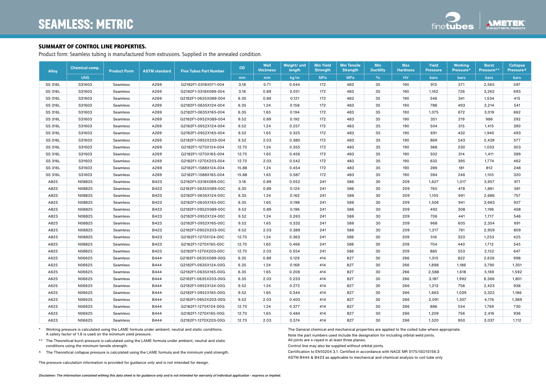

Product form: Seamless tubing is manufactured from extrusions. Supplied in the annealed condition.

| <b>Alloy</b>   | Chemical comp. | <b>Product Form</b> | <b>ASTM standard</b> | <b>Fine Tubes Part Number</b> | <b>OD</b> | Wall<br>thickness | Weight/ unit<br>length | <b>Min Yield</b><br><b>Strength</b> | <b>Min Tensile</b><br><b>Strength</b> | <b>Min</b><br><b>Ductility</b> | <b>Max</b><br><b>Hardness</b> | Yield<br><b>Pressure</b> | Working<br>Pressure* | <b>Burst</b><br>Pressure** | <b>Collapse</b><br>Pressure <sup>^</sup> |
|----------------|----------------|---------------------|----------------------|-------------------------------|-----------|-------------------|------------------------|-------------------------------------|---------------------------------------|--------------------------------|-------------------------------|--------------------------|----------------------|----------------------------|------------------------------------------|
|                | <b>UNS</b>     |                     |                      |                               | mm        | mm                | kg/m                   | <b>MPa</b>                          | <b>MPa</b>                            | $\frac{0}{0}$                  | <b>HV</b>                     | bars                     | bars                 | <b>bars</b>                | bars                                     |
| <b>SS 316L</b> | S31603         | Seamless            | A269                 | G2182F1-0318X071-004          | 3.18      | 0.71              | 0.044                  | 172                                 | 483                                   | 35                             | 190                           | 913                      | 571                  | 2,565                      | 597                                      |
| <b>SS 316L</b> | S31603         | Seamless            | A269                 | G2182F1-0318X089-004          | 3.18      | 0.89              | 0.051                  | 172                                 | 483                                   | 35                             | 190                           | 1,162                    | 726                  | 3,262                      | 693                                      |
| <b>SS 316L</b> | S31603         | Seamless            | A269                 | G2182F1-0635X089-004          | 6.35      | 0.89              | 0.121                  | 172                                 | 483                                   | 35                             | 190                           | 546                      | 341                  | 1,534                      | 415                                      |
| <b>SS 316L</b> | S31603         | Seamless            | A269                 | G2182F1-0635X124-004          | 6.35      | 1.24              | 0.158                  | 172                                 | 483                                   | 35                             | 190                           | 788                      | 493                  | 2,214                      | 541                                      |
| <b>SS 316L</b> | S31603         | Seamless            | A269                 | G2182F1-0635X165-004          | 6.35      | 1.65              | 0.194                  | 172                                 | 483                                   | 35                             | 190                           | 1,075                    | 672                  | 3,019                      | 662                                      |
| <b>SS 316L</b> | S31603         | Seamless            | A269                 | G2182F1-0952X089-004          | 9.52      | 0.89              | 0.192                  | 172                                 | 483                                   | 35                             | 190                           | 351                      | 219                  | 986                        | 292                                      |
| <b>SS 316L</b> | S31603         | Seamless            | A269                 | G2182F1-0952X124-004          | 9.52      | 1.24              | 0.257                  | 172                                 | 483                                   | 35                             | 190                           | 504                      | 315                  | 1,415                      | 390                                      |
| <b>SS 316L</b> | S31603         | Seamless            | A269                 | G2182F1-0952X165-004          | 9.52      | 1.65              | 0.325                  | 172                                 | 483                                   | 35                             | 190                           | 691                      | 432                  | 1,940                      | 493                                      |
| <b>SS 316L</b> | S31603         | Seamless            | A269                 | G2182F1-0952X203-004          | 9.52      | 2.03              | 0.380                  | 172                                 | 483                                   | 35                             | 190                           | 869                      | 543                  | 2,439                      | 577                                      |
| <b>SS 316L</b> | S31603         | Seamless            | A269                 | G2182F1-1270X124-004          | 12.70     | 1.24              | 0.355                  | 172                                 | 483                                   | 35                             | 190                           | 368                      | 230                  | 1,033                      | 303                                      |
| <b>SS 316L</b> | S31603         | Seamless            | A269                 | G2182F1-1270X165-004          | 12.70     | 1.65              | 0.456                  | 172                                 | 483                                   | 35                             | 190                           | 502                      | 314                  | 1,411                      | 389                                      |
| <b>SS 316L</b> | S31603         | Seamless            | A269                 | G2182F1-1270X203-004          | 12.70     | 2.03              | 0.542                  | 172                                 | 483                                   | 35                             | 190                           | 632                      | 395                  | 1,774                      | 462                                      |
| <b>SS 316L</b> | S31603         | Seamless            | A269                 | G2182F1-1588X124-004          | 15.88     | 1.24              | 0.454                  | 172                                 | 483                                   | 35                             | 190                           | 289                      | 181                  | 812                        | 248                                      |
| <b>SS 316L</b> | S31603         | Seamless            | A269                 | G2182F1-1588X165-004          | 15.88     | 1.65              | 0.587                  | 172                                 | 483                                   | 35                             | 190                           | 394                      | 246                  | 1,105                      | 320                                      |
| A825           | N08825         | Seamless            | B423                 | G2182F1-0318X089-00C          | 3.18      | 0.89              | 0.052                  | 241                                 | 586                                   | 30                             | 209                           | 1,627                    | 1,017                | 3,957                      | 971                                      |
| A825           | N08825         | Seamless            | B423                 | G2182F1-0635X089-00C          | 6.35      | 0.89              | 0.124                  | 241                                 | 586                                   | 30                             | 209                           | 765                      | 478                  | 1,861                      | 581                                      |
| A825           | N08825         | Seamless            | B423                 | G2182F1-0635X124-00C          | 6.35      | 1.24              | 0.162                  | 241                                 | 586                                   | 30                             | 209                           | 1,105                    | 691                  | 2,686                      | 757                                      |
| A825           | N08825         | Seamless            | B423                 | G2182F1-0635X165-00C          | 6.35      | 1.65              | 0.198                  | 241                                 | 586                                   | 30                             | 209                           | 1,506                    | 941                  | 3,663                      | 927                                      |
| A825           | N08825         | Seamless            | B423                 | G2182F1-0952X089-00C          | 9.52      | 0.89              | 0.196                  | 241                                 | 586                                   | 30                             | 209                           | 492                      | 308                  | 1,196                      | 408                                      |
| A825           | N08825         | Seamless            | B423                 | G2182F1-0952X124-00C          | 9.52      | 1.24              | 0.263                  | 241                                 | 586                                   | 30                             | 209                           | 706                      | 441                  | 1,717                      | 546                                      |
| A825           | N08825         | Seamless            | B423                 | G2182F1-0952X165-00C          | 9.52      | 1.65              | 0.332                  | 241                                 | 586                                   | 30                             | 209                           | 968                      | 605                  | 2,354                      | 691                                      |
| A825           | N08825         | Seamless            | B423                 | G2182F1-0952X203-00C          | 9.52      | 2.03              | 0.389                  | 241                                 | 586                                   | 30                             | 209                           | 1,217                    | 761                  | 2,959                      | 809                                      |
| A825           | N08825         | Seamless            | B423                 | G2182F1-1270X124-00C          | 12.70     | 1.24              | 0.363                  | 241                                 | 586                                   | 30                             | 209                           | 516                      | 323                  | 1,253                      | 425                                      |
| A825           | N08825         | Seamless            | B423                 | G2182F1-1270X165-00C          | 12.70     | 1.65              | 0.466                  | 241                                 | 586                                   | 30                             | 209                           | 704                      | 440                  | 1,712                      | 545                                      |
| A825           | N08825         | Seamless            | B423                 | G2182F1-1270X203-00C          | 12.70     | 2.03              | 0.554                  | 241                                 | 586                                   | 30                             | 209                           | 885                      | 553                  | 2,152                      | 647                                      |
| A625           | N06625         | Seamless            | B444                 | G2182F1-0635X089-00G          | 6.35      | 0.89              | 0.129                  | 414                                 | 827                                   | 30                             | 266                           | 1,315                    | 822                  | 2,626                      | 998                                      |
| A625           | N06625         | Seamless            | B444                 | G2182F1-0635X124-00G          | 6.35      | 1.24              | 0.168                  | 414                                 | 827                                   | 30                             | 266                           | 1,898                    | 1,186                | 3,790                      | 1,301                                    |
| A625           | N06625         | Seamless            | B444                 | G2182F1-0635X165-00G          | 6.35      | 1.65              | 0.206                  | 414                                 | 827                                   | 30                             | 266                           | 2,588                    | 1,618                | 5,169                      | 1,592                                    |
| A625           | N06625         | Seamless            | <b>B444</b>          | G2182F1-0635X203-00G          | 6.35      | 2.03              | 0.233                  | 414                                 | 827                                   | 30                             | 266                           | 3,187                    | 1,992                | 6,366                      | 1,801                                    |
| A625           | N06625         | Seamless            | B444                 | G2182F1-0952X124-00G          | 9.52      | 1.24              | 0.272                  | 414                                 | 827                                   | 30                             | 266                           | 1,213                    | 758                  | 2,423                      | 938                                      |
| A625           | N06625         | Seamless            | <b>B444</b>          | G2182F1-0952X165-00G          | 9.52      | 1.65              | 0.344                  | 414                                 | 827                                   | 30                             | 266                           | 1,663                    | 1,039                | 3,322                      | 1,186                                    |
| A625           | N06625         | Seamless            | B444                 | G2182F1-0952X203-00G          | 9.52      | 2.03              | 0.403                  | 414                                 | 827                                   | 30                             | 266                           | 2,091                    | 1,307                | 4,176                      | 1,389                                    |
| A625           | N06625         | Seamless            | B444                 | G2182F1-1270X124-00G          | 12.70     | 1.24              | 0.377                  | 414                                 | 827                                   | 30                             | 266                           | 886                      | 554                  | 1,769                      | 730                                      |
| A625           | N06625         | Seamless            | B444                 | G2182F1-1270X165-00G          | 12.70     | 1.65              | 0.484                  | 414                                 | 827                                   | 30                             | 266                           | 1,209                    | 756                  | 2,416                      | 936                                      |
| A625           | N06625         | Seamless            | B444                 | G2182F1-1270X203-00G          | 12.70     | 2.03              | 0.574                  | 414                                 | 827                                   | 30                             | 266                           | 1,520                    | 950                  | 3,037                      | 1,112                                    |

\* Working pressure is calculated using the LAME formula under ambient, neutral and static conditions. A safety factor of 1.6 is used on the minimum yield pressure.

The General chemical and mechanical properties are applied to the coiled tube where appropriate.

Note the part numbers used include the designation for including orbital weld joints.

All joints are x-rayed in at least three planes.

Control line may also be supplied without orbital joints.

Certification to EN10204 3.1. Certified in accordance with NACE MR 0175/ISO15156:3

ASTM B444 & B423 as applicable to mechanical and chemical analysis to coil tube only

\*\* The Theoretical burst pressure is calculated using the LAME formula under ambient, neutral and static conditions using the minimum tensile strength.

^ The Theoretical collapse pressure is calculated using the LAME formula and the minimum yield strength.

The pressure calculation information is provided for guidance only and is not intended for design.